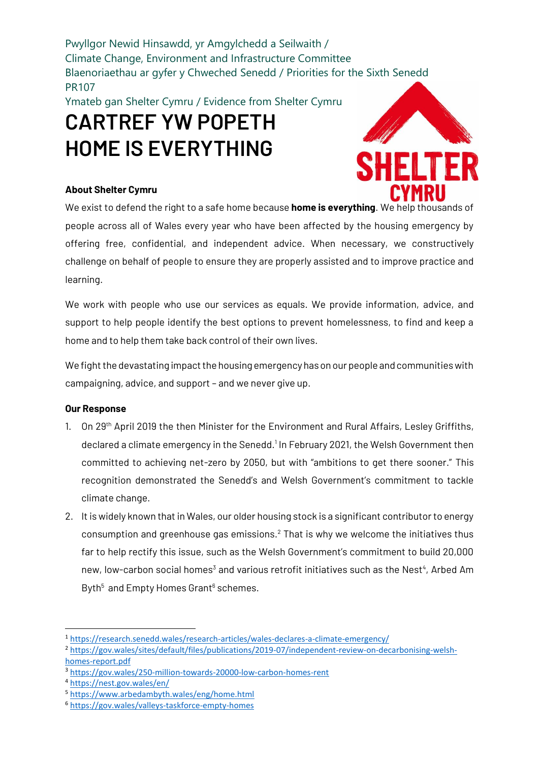Pwyllgor Newid Hinsawdd, yr Amgylchedd a Seilwaith / Climate Change, Environment and Infrastructure Committee Blaenoriaethau ar gyfer y Chweched Senedd / Priorities for the Sixth Senedd PR107

Ymateb gan Shelter Cymru / Evidence from Shelter Cymru

### **CARTREF YW POPETH HOME IS EVERYTHING**

### **About Shelter Cymru**



We exist to defend the right to a safe home because **home is everything**. We help thousands of people across all of Wales every year who have been affected by the housing emergency by offering free, confidential, and independent advice. When necessary, we constructively challenge on behalf of people to ensure they are properly assisted and to improve practice and learning.

We work with people who use our services as equals. We provide information, advice, and support to help people identify the best options to prevent homelessness, to find and keep a home and to help them take back control of their own lives.

We fight the devastating impact the housing emergency has on our people and communities with campaigning, advice, and support – and we never give up.

### **Our Response**

- 1. On 29<sup>th</sup> April 2019 the then Minister for the Environment and Rural Affairs, Lesley Griffiths, declared a climate emergency in the Senedd.<sup>1</sup> In February 2021, the Welsh Government then committed to achieving net-zero by 2050, but with "ambitions to get there sooner." This recognition demonstrated the Senedd's and Welsh Government's commitment to tackle climate change.
- 2. It is widely known that in Wales, our older housing stock is a significant contributor to energy consumption and greenhouse gas emissions.<sup>2</sup> That is why we welcome the initiatives thus far to help rectify this issue, such as the Welsh Government's commitment to build 20,000 new, low-carbon social homes<sup>3</sup> and various retrofit initiatives such as the Nest<sup>4</sup>, Arbed Am Byth<sup>5</sup> and Empty Homes Grant<sup>6</sup> schemes.

<sup>1</sup> <https://research.senedd.wales/research-articles/wales-declares-a-climate-emergency/>

<sup>2</sup> [https://gov.wales/sites/default/files/publications/2019-07/independent-review-on-decarbonising-welsh](https://gov.wales/sites/default/files/publications/2019-07/independent-review-on-decarbonising-welsh-homes-report.pdf)[homes-report.pdf](https://gov.wales/sites/default/files/publications/2019-07/independent-review-on-decarbonising-welsh-homes-report.pdf)

<sup>3</sup> <https://gov.wales/250-million-towards-20000-low-carbon-homes-rent>

<sup>4</sup> <https://nest.gov.wales/en/>

<sup>5</sup> <https://www.arbedambyth.wales/eng/home.html>

<sup>6</sup> <https://gov.wales/valleys-taskforce-empty-homes>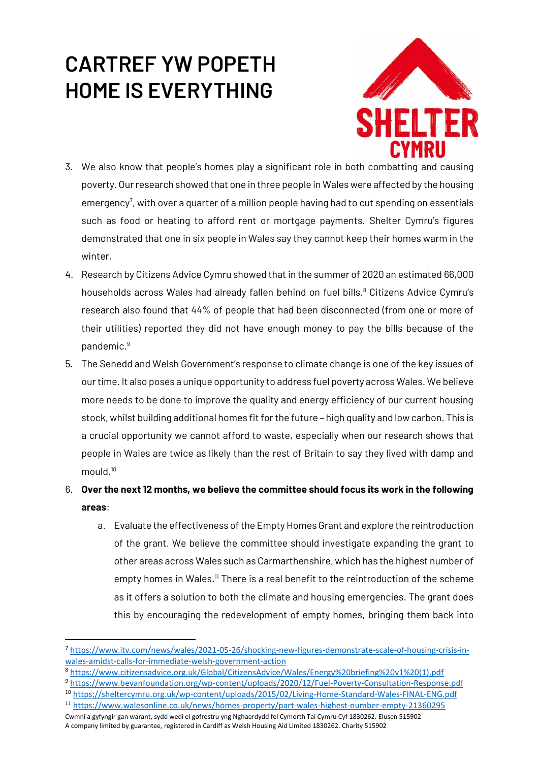# **CARTREF YW POPETH HOME IS EVERYTHING**



- 3. We also know that people's homes play a significant role in both combatting and causing poverty. Our research showed that one in three people in Wales were affected by the housing emergency<sup>7</sup>, with over a quarter of a million people having had to cut spending on essentials such as food or heating to afford rent or mortgage payments. Shelter Cymru's figures demonstrated that one in six people in Wales say they cannot keep their homes warm in the winter.
- 4. Research by Citizens Advice Cymru showed that in the summer of 2020 an estimated 66,000 households across Wales had already fallen behind on fuel bills.<sup>8</sup> Citizens Advice Cymru's research also found that 44% of people that had been disconnected (from one or more of their utilities) reported they did not have enough money to pay the bills because of the pandemic.<sup>9</sup>
- 5. The Senedd and Welsh Government's response to climate change is one of the key issues of our time. It also poses a unique opportunity to address fuel poverty across Wales. We believe more needs to be done to improve the quality and energy efficiency of our current housing stock, whilst building additional homes fit for the future - high quality and low carbon. This is a crucial opportunity we cannot afford to waste, especially when our research shows that people in Wales are twice as likely than the rest of Britain to say they lived with damp and mould.<sup>10</sup>
- 6. **Over the next 12 months, we believe the committee should focus its work in the following areas**:
	- a. Evaluate the effectiveness of the Empty Homes Grant and explore the reintroduction of the grant. We believe the committee should investigate expanding the grant to other areas across Wales such as Carmarthenshire, which has the highest number of empty homes in Wales.<sup>11</sup> There is a real benefit to the reintroduction of the scheme as it offers a solution to both the climate and housing emergencies. The grant does this by encouraging the redevelopment of empty homes, bringing them back into

- <sup>8</sup> [https://www.citizensadvice.org.uk/Global/CitizensAdvice/Wales/Energy%20briefing%20v1%20\(1\).pdf](https://www.citizensadvice.org.uk/Global/CitizensAdvice/Wales/Energy%20briefing%20v1%20(1).pdf)
- <sup>9</sup> <https://www.bevanfoundation.org/wp-content/uploads/2020/12/Fuel-Poverty-Consultation-Response.pdf>
- <sup>10</sup> <https://sheltercymru.org.uk/wp-content/uploads/2015/02/Living-Home-Standard-Wales-FINAL-ENG.pdf> <sup>11</sup> <https://www.walesonline.co.uk/news/homes-property/part-wales-highest-number-empty-21360295>
- Cwmni a gyfyngir gan warant, sydd wedi ei gofrestru yng Nghaerdydd fel Cymorth Tai Cymru Cyf 1830262. Elusen 515902 A company limited by guarantee, registered in Cardiff as Welsh Housing Aid Limited 1830262. Charity 515902

<sup>7</sup> [https://www.itv.com/news/wales/2021-05-26/shocking-new-figures-demonstrate-scale-of-housing-crisis-in](https://www.itv.com/news/wales/2021-05-26/shocking-new-figures-demonstrate-scale-of-housing-crisis-in-wales-amidst-calls-for-immediate-welsh-government-action)[wales-amidst-calls-for-immediate-welsh-government-action](https://www.itv.com/news/wales/2021-05-26/shocking-new-figures-demonstrate-scale-of-housing-crisis-in-wales-amidst-calls-for-immediate-welsh-government-action)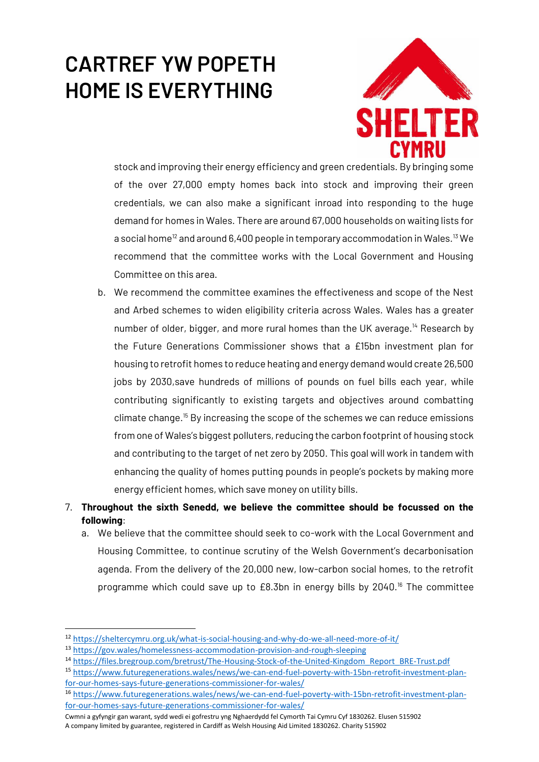# **CARTREF YW POPETH HOME IS EVERYTHING**



stock and improving their energy efficiency and green credentials. By bringing some of the over 27,000 empty homes back into stock and improving their green credentials, we can also make a significant inroad into responding to the huge demand for homes in Wales. There are around 67,000 households on waiting lists for a social home<sup>12</sup> and around 6,400 people in temporary accommodation in Wales.<sup>13</sup> We recommend that the committee works with the Local Government and Housing Committee on this area.

- b. We recommend the committee examines the effectiveness and scope of the Nest and Arbed schemes to widen eligibility criteria across Wales. Wales has a greater number of older, bigger, and more rural homes than the UK average.<sup>14</sup> Research by the Future Generations Commissioner shows that a £15bn investment plan for housing to retrofit homes to reduce heating and energy demand would create 26,500 jobs by 2030,save hundreds of millions of pounds on fuel bills each year, while contributing significantly to existing targets and objectives around combatting climate change. <sup>15</sup> By increasing the scope of the schemes we can reduce emissions from one of Wales's biggest polluters, reducing the carbon footprint of housing stock and contributing to the target of net zero by 2050. This goal will work in tandem with enhancing the quality of homes putting pounds in people's pockets by making more energy efficient homes, which save money on utility bills.
- 7. **Throughout the sixth Senedd, we believe the committee should be focussed on the following**:
	- a. We believe that the committee should seek to co-work with the Local Government and Housing Committee, to continue scrutiny of the Welsh Government's decarbonisation agenda. From the delivery of the 20,000 new, low-carbon social homes, to the retrofit programme which could save up to  $£8.3$ bn in energy bills by 2040.<sup>16</sup> The committee

<sup>15</sup> [https://www.futuregenerations.wales/news/we-can-end-fuel-poverty-with-15bn-retrofit-investment-plan](https://www.futuregenerations.wales/news/we-can-end-fuel-poverty-with-15bn-retrofit-investment-plan-for-our-homes-says-future-generations-commissioner-for-wales/)[for-our-homes-says-future-generations-commissioner-for-wales/](https://www.futuregenerations.wales/news/we-can-end-fuel-poverty-with-15bn-retrofit-investment-plan-for-our-homes-says-future-generations-commissioner-for-wales/)

Cwmni a gyfyngir gan warant, sydd wedi ei gofrestru yng Nghaerdydd fel Cymorth Tai Cymru Cyf 1830262. Elusen 515902 A company limited by guarantee, registered in Cardiff as Welsh Housing Aid Limited 1830262. Charity 515902

<sup>12</sup> <https://sheltercymru.org.uk/what-is-social-housing-and-why-do-we-all-need-more-of-it/>

<sup>13</sup> <https://gov.wales/homelessness-accommodation-provision-and-rough-sleeping>

<sup>14</sup> [https://files.bregroup.com/bretrust/The-Housing-Stock-of-the-United-Kingdom\\_Report\\_BRE-Trust.pdf](https://files.bregroup.com/bretrust/The-Housing-Stock-of-the-United-Kingdom_Report_BRE-Trust.pdf)

<sup>16</sup> [https://www.futuregenerations.wales/news/we-can-end-fuel-poverty-with-15bn-retrofit-investment-plan](https://www.futuregenerations.wales/news/we-can-end-fuel-poverty-with-15bn-retrofit-investment-plan-for-our-homes-says-future-generations-commissioner-for-wales/)[for-our-homes-says-future-generations-commissioner-for-wales/](https://www.futuregenerations.wales/news/we-can-end-fuel-poverty-with-15bn-retrofit-investment-plan-for-our-homes-says-future-generations-commissioner-for-wales/)